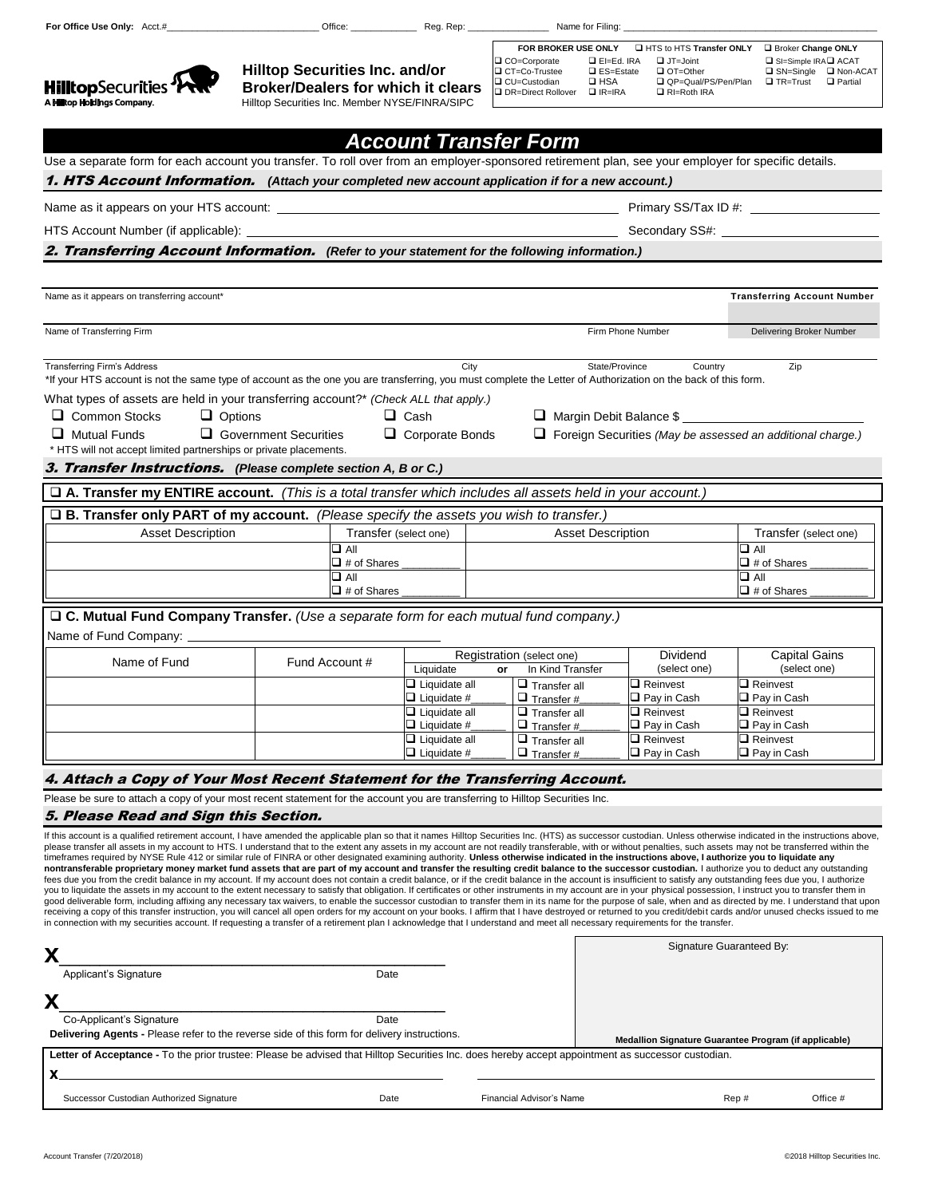$\sim$ 

 $1.11114$ 

Ω

 **Hilltop Securities Inc. and/or**

| FOR BROKER USE ONLY                                 |                                                     | HTS to HTS Transfer ONLY                                  | <b>Broker Change ONLY</b>                                                  |                                     |
|-----------------------------------------------------|-----------------------------------------------------|-----------------------------------------------------------|----------------------------------------------------------------------------|-------------------------------------|
| □ CO=Corporate<br>□ CT=Co-Trustee<br>□ CU=Custodian | $L = Ed$ . IRA<br>$\Box$ ES=Estate<br>$\square$ HSA | $\Box$ JT=Joint<br>$\Box$ OT=Other<br>QP=Qual/PS/Pen/Plan | $\Box$ SI=Simple IRA $\Box$ ACAT<br>$\square$ SN=Single<br>$\Box$ TR=Trust | <b>Q</b> Non-ACAT<br>$\Box$ Partial |
| □ DR=Direct Rollover                                | $IIR=IRA$                                           | $\Box$ RI=Roth IRA                                        |                                                                            |                                     |

| <b>HilltopSecurities "PRRT"</b><br>A Hilltop Holdings Company.                                                                                                                                                                                                                                                                                                                                                                          | <b>Broker/Dealers for which it clears</b><br>Hilltop Securities Inc. Member NYSE/FINRA/SIPC |                                            | ⊒ CO=Custodian<br>□ DR=Direct Rollover □ IR=IRA | $\Box$ RI=Roth IRA                    | ∟uvr=Qual/PS/Pen/Plan ⊔ik=irust                                   |
|-----------------------------------------------------------------------------------------------------------------------------------------------------------------------------------------------------------------------------------------------------------------------------------------------------------------------------------------------------------------------------------------------------------------------------------------|---------------------------------------------------------------------------------------------|--------------------------------------------|-------------------------------------------------|---------------------------------------|-------------------------------------------------------------------|
|                                                                                                                                                                                                                                                                                                                                                                                                                                         |                                                                                             | <b>Account Transfer Form</b>               |                                                 |                                       |                                                                   |
| Use a separate form for each account you transfer. To roll over from an employer-sponsored retirement plan, see your employer for specific details.                                                                                                                                                                                                                                                                                     |                                                                                             |                                            |                                                 |                                       |                                                                   |
| <b>1. HTS Account Information.</b> (Attach your completed new account application if for a new account.)                                                                                                                                                                                                                                                                                                                                |                                                                                             |                                            |                                                 |                                       |                                                                   |
| Name as it appears on your HTS account: ____                                                                                                                                                                                                                                                                                                                                                                                            |                                                                                             |                                            |                                                 | Primary SS/Tax ID #: _____            |                                                                   |
| HTS Account Number (if applicable): _                                                                                                                                                                                                                                                                                                                                                                                                   |                                                                                             | Secondary SS#: _                           |                                                 |                                       |                                                                   |
| 2. Transferring Account Information. (Refer to your statement for the following information.)                                                                                                                                                                                                                                                                                                                                           |                                                                                             |                                            |                                                 |                                       |                                                                   |
|                                                                                                                                                                                                                                                                                                                                                                                                                                         |                                                                                             |                                            |                                                 |                                       |                                                                   |
| Name as it appears on transferring account*                                                                                                                                                                                                                                                                                                                                                                                             |                                                                                             |                                            |                                                 |                                       | <b>Transferring Account Number</b>                                |
| Name of Transferring Firm                                                                                                                                                                                                                                                                                                                                                                                                               |                                                                                             |                                            |                                                 | Firm Phone Number                     | Delivering Broker Number                                          |
| <b>Transferring Firm's Address</b><br>*If your HTS account is not the same type of account as the one you are transferring, you must complete the Letter of Authorization on the back of this form.                                                                                                                                                                                                                                     |                                                                                             | City                                       |                                                 | State/Province<br>Country             | Zip                                                               |
| What types of assets are held in your transferring account?* (Check ALL that apply.)                                                                                                                                                                                                                                                                                                                                                    |                                                                                             |                                            |                                                 |                                       |                                                                   |
| □ Common Stocks<br>$\Box$ Options                                                                                                                                                                                                                                                                                                                                                                                                       |                                                                                             | $\Box$ Cash                                | $\Box$ Margin Debit Balance \$                  |                                       |                                                                   |
| $\Box$ Mutual Funds                                                                                                                                                                                                                                                                                                                                                                                                                     | $\Box$ Government Securities                                                                | $\Box$ Corporate Bonds                     |                                                 |                                       | $\Box$ Foreign Securities (May be assessed an additional charge.) |
| * HTS will not accept limited partnerships or private placements.<br>3. Transfer Instructions. (Please complete section A, B or C.)                                                                                                                                                                                                                                                                                                     |                                                                                             |                                            |                                                 |                                       |                                                                   |
| $\square$ A. Transfer my ENTIRE account. (This is a total transfer which includes all assets held in your account.)                                                                                                                                                                                                                                                                                                                     |                                                                                             |                                            |                                                 |                                       |                                                                   |
|                                                                                                                                                                                                                                                                                                                                                                                                                                         |                                                                                             |                                            |                                                 |                                       |                                                                   |
| □ B. Transfer only PART of my account. (Please specify the assets you wish to transfer.)<br><b>Asset Description</b>                                                                                                                                                                                                                                                                                                                    | Transfer (select one)                                                                       |                                            | <b>Asset Description</b>                        |                                       | Transfer (select one)                                             |
|                                                                                                                                                                                                                                                                                                                                                                                                                                         | $\Box$ All                                                                                  |                                            |                                                 |                                       | $\Box$ All                                                        |
|                                                                                                                                                                                                                                                                                                                                                                                                                                         | $\Box$ # of Shares<br>$\Box$ All                                                            |                                            |                                                 |                                       | $\Box$ # of Shares<br>$\Box$ All                                  |
|                                                                                                                                                                                                                                                                                                                                                                                                                                         | $\Box$ # of Shares                                                                          |                                            |                                                 |                                       | $\Box$ # of Shares                                                |
| $\square$ C. Mutual Fund Company Transfer. (Use a separate form for each mutual fund company.)                                                                                                                                                                                                                                                                                                                                          |                                                                                             |                                            |                                                 |                                       |                                                                   |
| Name of Fund Company:                                                                                                                                                                                                                                                                                                                                                                                                                   |                                                                                             |                                            |                                                 |                                       |                                                                   |
| Name of Fund                                                                                                                                                                                                                                                                                                                                                                                                                            | Fund Account #                                                                              |                                            | Registration (select one)                       | Dividend                              | <b>Capital Gains</b>                                              |
|                                                                                                                                                                                                                                                                                                                                                                                                                                         |                                                                                             | Liquidate<br>$\Box$ Liquidate all          | In Kind Transfer<br>or<br>$\Box$ Transfer all   | (select one)<br>$\square$ Reinvest    | (select one)<br>$\Box$ Reinvest                                   |
|                                                                                                                                                                                                                                                                                                                                                                                                                                         |                                                                                             | $\square$ Liquidate #                      | $\Box$ Transfer #                               | $\Box$ Pay in Cash                    | $\Box$ Pay in Cash                                                |
|                                                                                                                                                                                                                                                                                                                                                                                                                                         |                                                                                             | $\Box$ Liquidate all<br>$\Box$ Liquidate # | $\Box$ Transfer all<br>$\Box$ Transfer #        | $\Box$ Reinvest<br>$\Box$ Pay in Cash | $\Box$ Reinvest<br>$\Box$ Pay in Cash                             |
|                                                                                                                                                                                                                                                                                                                                                                                                                                         |                                                                                             | $\Box$ Liquidate all                       | $\Box$ Transfer all                             | $\square$ Reinvest                    | $\Box$ Reinvest                                                   |
|                                                                                                                                                                                                                                                                                                                                                                                                                                         |                                                                                             | $\Box$ Liquidate #                         | $\Box$ Transfer #                               | $\Box$ Pay in Cash                    | $\Box$ Pay in Cash                                                |
| 4. Attach a Copy of Your Most Recent Statement for the Transferring Account.                                                                                                                                                                                                                                                                                                                                                            |                                                                                             |                                            |                                                 |                                       |                                                                   |
| Please be sure to attach a copy of your most recent statement for the account you are transferring to Hilltop Securities Inc.                                                                                                                                                                                                                                                                                                           |                                                                                             |                                            |                                                 |                                       |                                                                   |
| 5. Please Read and Sign this Section.                                                                                                                                                                                                                                                                                                                                                                                                   |                                                                                             |                                            |                                                 |                                       |                                                                   |
| If this account is a qualified retirement account, I have amended the applicable plan so that it names Hilltop Securities Inc. (HTS) as successor custodian. Unless otherwise indicated in the instructions above,<br>please transfer all assets in my account to HTS. I understand that to the extent any assets in my account are not readily transferable, with or without penalties, such assets may not be transferred within the  |                                                                                             |                                            |                                                 |                                       |                                                                   |
| timeframes required by NYSE Rule 412 or similar rule of FINRA or other designated examining authority. Unless otherwise indicated in the instructions above, I authorize you to liquidate any<br>nontransferable proprietary money market fund assets that are part of my account and transfer the resulting credit balance to the successor custodian. I authorize you to deduct any outstanding                                       |                                                                                             |                                            |                                                 |                                       |                                                                   |
| fees due you from the credit balance in my account. If my account does not contain a credit balance, or if the credit balance in the account is insufficient to satisfy any outstanding fees due you, I authorize                                                                                                                                                                                                                       |                                                                                             |                                            |                                                 |                                       |                                                                   |
| you to liquidate the assets in my account to the extent necessary to satisfy that obligation. If certificates or other instruments in my account are in your physical possession, I instruct you to transfer them in<br>good deliverable form, including affixing any necessary tax waivers, to enable the successor custodian to transfer them in its name for the purpose of sale, when and as directed by me. I understand that upon |                                                                                             |                                            |                                                 |                                       |                                                                   |
| receiving a copy of this transfer instruction, you will cancel all open orders for my account on your books. I affirm that I have destroyed or returned to you credit/debit cards and/or unused checks issued to me<br>in connection with my securities account. If requesting a transfer of a retirement plan I acknowledge that I understand and meet all necessary requirements for the transfer.                                    |                                                                                             |                                            |                                                 |                                       |                                                                   |
|                                                                                                                                                                                                                                                                                                                                                                                                                                         |                                                                                             |                                            |                                                 |                                       | Signature Guaranteed By:                                          |
| X                                                                                                                                                                                                                                                                                                                                                                                                                                       |                                                                                             |                                            |                                                 |                                       |                                                                   |
| Applicant's Signature                                                                                                                                                                                                                                                                                                                                                                                                                   | Date                                                                                        |                                            |                                                 |                                       |                                                                   |
| Х                                                                                                                                                                                                                                                                                                                                                                                                                                       |                                                                                             |                                            |                                                 |                                       |                                                                   |
| Co-Applicant's Signature<br><b>Delivering Agents - Please refer to the reverse side of this form for delivery instructions.</b>                                                                                                                                                                                                                                                                                                         | Date                                                                                        |                                            |                                                 |                                       | Medallion Signature Guarantee Program (if applicable)             |
| Letter of Acceptance - To the prior trustee: Please be advised that Hilltop Securities Inc. does hereby accept appointment as successor custodian.                                                                                                                                                                                                                                                                                      |                                                                                             |                                            |                                                 |                                       |                                                                   |
| Successor Custodian Authorized Signature                                                                                                                                                                                                                                                                                                                                                                                                | Date                                                                                        |                                            | Financial Advisor's Name                        |                                       | Office #<br>Rep#                                                  |